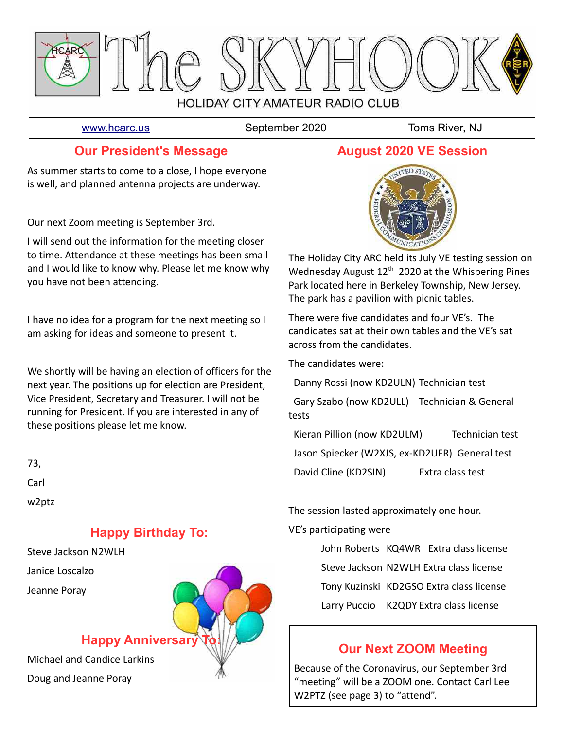

[www.hcarc.us](http://www.hcarc.us/) September 2020 Toms River, NJ

## **Our President's Message**

As summer starts to come to a close, I hope everyone is well, and planned antenna projects are underway.

Our next Zoom meeting is September 3rd.

I will send out the information for the meeting closer to time. Attendance at these meetings has been small and I would like to know why. Please let me know why you have not been attending.

I have no idea for a program for the next meeting so I am asking for ideas and someone to present it.

We shortly will be having an election of officers for the next year. The positions up for election are President, Vice President, Secretary and Treasurer. I will not be running for President. If you are interested in any of these positions please let me know.

73, Carl

w2ptz

## **Happy Birthday To:**

Steve Jackson N2WLH Janice Loscalzo Jeanne Poray

Doug and Jeanne Poray



## **August 2020 VE Session**



The Holiday City ARC held its July VE testing session on Wednesday August  $12<sup>th</sup>$  2020 at the Whispering Pines Park located here in Berkeley Township, New Jersey. The park has a pavilion with picnic tables.

There were five candidates and four VE's. The candidates sat at their own tables and the VE's sat across from the candidates.

The candidates were:

Danny Rossi (now KD2ULN) Technician test

 Gary Szabo (now KD2ULL) Technician & General tests

 Kieran Pillion (now KD2ULM) Technician test Jason Spiecker (W2XJS, ex-KD2UFR) General test David Cline (KD2SIN) Extra class test

The session lasted approximately one hour.

VE's participating were

John Roberts KQ4WR Extra class license Steve Jackson N2WLH Extra class license Tony Kuzinski KD2GSO Extra class license Larry Puccio K2QDY Extra class license

## **Our Next ZOOM Meeting**

Because of the Coronavirus, our September 3rd "meeting" will be a ZOOM one. Contact Carl Lee W2PTZ (see page 3) to "attend".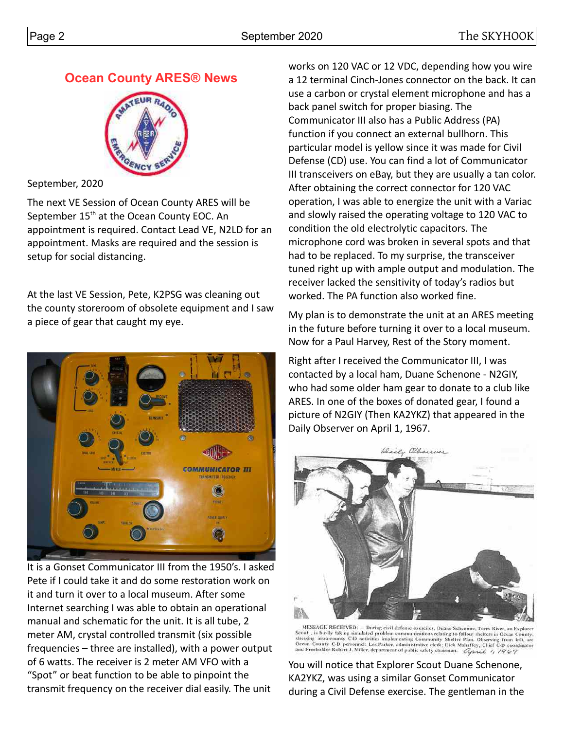#### Page 2 September 2020 The SKYHOOK

#### **Ocean County ARES® News**



September, 2020

The next VE Session of Ocean County ARES will be September 15<sup>th</sup> at the Ocean County EOC. An appointment is required. Contact Lead VE, N2LD for an appointment. Masks are required and the session is setup for social distancing.

At the last VE Session, Pete, K2PSG was cleaning out the county storeroom of obsolete equipment and I saw a piece of gear that caught my eye.



It is a Gonset Communicator III from the 1950's. I asked Pete if I could take it and do some restoration work on it and turn it over to a local museum. After some Internet searching I was able to obtain an operational manual and schematic for the unit. It is all tube, 2 meter AM, crystal controlled transmit (six possible frequencies – three are installed), with a power output of 6 watts. The receiver is 2 meter AM VFO with a "Spot" or beat function to be able to pinpoint the transmit frequency on the receiver dial easily. The unit

works on 120 VAC or 12 VDC, depending how you wire a 12 terminal Cinch-Jones connector on the back. It can use a carbon or crystal element microphone and has a back panel switch for proper biasing. The Communicator III also has a Public Address (PA) function if you connect an external bullhorn. This particular model is yellow since it was made for Civil Defense (CD) use. You can find a lot of Communicator III transceivers on eBay, but they are usually a tan color. After obtaining the correct connector for 120 VAC operation, I was able to energize the unit with a Variac and slowly raised the operating voltage to 120 VAC to condition the old electrolytic capacitors. The microphone cord was broken in several spots and that had to be replaced. To my surprise, the transceiver tuned right up with ample output and modulation. The receiver lacked the sensitivity of today's radios but worked. The PA function also worked fine.

My plan is to demonstrate the unit at an ARES meeting in the future before turning it over to a local museum. Now for a Paul Harvey, Rest of the Story moment.

Right after I received the Communicator III, I was contacted by a local ham, Duane Schenone - N2GIY, who had some older ham gear to donate to a club like ARES. In one of the boxes of donated gear, I found a picture of N2GIY (Then KA2YKZ) that appeared in the Daily Observer on April 1, 1967.



MESSAGE RECEIVED: - During civil defense exercises, Duane Schenone, Toms River, an Explorer MESSAGE RECEIVED: During civil defense exercises, Duane Schenone, Toms River, an Explorer<br>Scout , is busily taking simulated problem communications relating to fallour deleters in Ocean County,<br>stressing intra-county CD ac

You will notice that Explorer Scout Duane Schenone, KA2YKZ, was using a similar Gonset Communicator during a Civil Defense exercise. The gentleman in the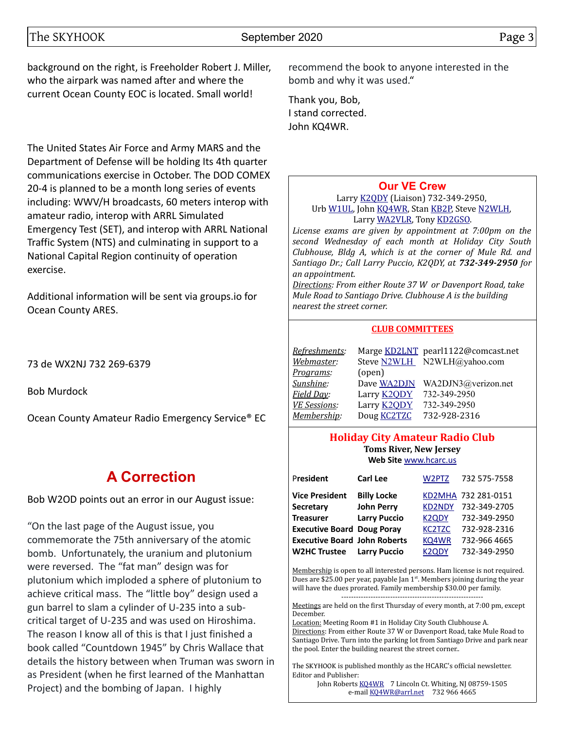background on the right, is Freeholder Robert J. Miller, who the airpark was named after and where the current Ocean County EOC is located. Small world!

The United States Air Force and Army MARS and the Department of Defense will be holding Its 4th quarter communications exercise in October. The DOD COMEX 20-4 is planned to be a month long series of events including: WWV/H broadcasts, 60 meters interop with amateur radio, interop with ARRL Simulated Emergency Test (SET), and interop with ARRL National Traffic System (NTS) and culminating in support to a National Capital Region continuity of operation exercise.

Additional information will be sent via groups.io for Ocean County ARES.

73 de WX2NJ 732 269-6379

Bob Murdock

Ocean County Amateur Radio Emergency Service® EC

# **A Correction**

Bob W2OD points out an error in our August issue:

"On the last page of the August issue, you commemorate the 75th anniversary of the atomic bomb. Unfortunately, the uranium and plutonium were reversed. The "fat man" design was for plutonium which imploded a sphere of plutonium to achieve critical mass. The "little boy" design used a gun barrel to slam a cylinder of U-235 into a subcritical target of U-235 and was used on Hiroshima. The reason I know all of this is that I just finished a book called "Countdown 1945" by Chris Wallace that details the history between when Truman was sworn in as President (when he first learned of the Manhattan Project) and the bombing of Japan. I highly

recommend the book to anyone interested in the bomb and why it was used."

Thank you, Bob, I stand corrected. John KQ4WR.

#### **[Our VE Crew](mailto:lpuccio1@comcast.net?subject=VE)**

Larry [K2QDY](mailto:lpuccio071@gmail.com) (Liaison) 732-349-2950, Urb [W1UL,](mailto:urb@W1UL.com) John [KQ4WR,](mailto:kq4wr@arrl.net) Stan [KB2P,](mailto:kb2pd@hotmail.com) Steve [N2WLH,](mailto:n2wlh@yahoo.com) Larry [WA2VLR,](mailto:lloscalz@optonline.net) Tony [KD2GSO.](mailto:tonyk613@comcast.net)

*License exams are given by appointment at 7:00pm on the second Wednesday of each month at Holiday City South Clubhouse, Bldg A, which is at the corner of Mule Rd. and Santiago Dr.; Call Larry Puccio, K2QDY, at 732-349-2950 for an appointment.* 

*Directions: From either Route 37 W or Davenport Road, take Mule Road to Santiago Drive. Clubhouse A is the building nearest the street corner.*

#### **CLUB COMMITTEES**

| Refreshments:       |                    | Marge KD2LNT pearl1122@comcast.net |
|---------------------|--------------------|------------------------------------|
| Webmaster:          |                    | Steve N2WLH N2WLH@yahoo.com        |
| Programs:           | (open)             |                                    |
| Sunshine:           | Dave WA2DJN        | WA2DJN3@verizon.net                |
| Field Day:          | Larry <b>K2QDY</b> | 732-349-2950                       |
| <b>VE Sessions:</b> | Larry <b>K2ODY</b> | 732-349-2950                       |
| Membership:         | Doug <b>KC2TZC</b> | 732-928-2316                       |

#### **Holiday City Amateur Radio Club Toms River, New Jersey Web Site** [www.hcarc.us](http://www.hcarc.us/)

| President                           | Carl Lee            | W2PTZ         | 732 575-7558        |
|-------------------------------------|---------------------|---------------|---------------------|
| <b>Vice President</b>               | <b>Billy Locke</b>  |               | KD2MHA 732 281-0151 |
| Secretary                           | <b>John Perry</b>   | <b>KD2NDY</b> | 732-349-2705        |
| <b>Treasurer</b>                    | <b>Larry Puccio</b> | <b>K2QDY</b>  | 732-349-2950        |
| <b>Executive Board Doug Poray</b>   |                     | <b>KC2TZC</b> | 732-928-2316        |
| <b>Executive Board John Roberts</b> |                     | KQ4WR         | 732-966 4665        |
| <b>W2HC Trustee</b>                 | <b>Larry Puccio</b> | K2QDY         | 732-349-2950        |

Membership is open to all interested persons. Ham license is not required. Dues are \$25.00 per year, payable Jan  $1<sup>st</sup>$ . Members joining during the year will have the dues prorated. Family membership \$30.00 per family.

----------------------------------------------------------

Meetings are held on the first Thursday of every month, at 7:00 pm, except December.

Location: Meeting Room #1 in Holiday City South Clubhouse A. Directions: From either Route 37 W or Davenport Road, take Mule Road to Santiago Drive. Turn into the parking lot from Santiago Drive and park near the pool. Enter the building nearest the street corner..

The SKYHOOK is published monthly as the HCARC's official newsletter. Editor and Publisher:

John Roberts [KQ4WR](mailto:kq4wr@arrl.net) 7 Lincoln Ct. Whiting, NJ 08759-1505 e-mail [KQ4WR@arrl.net](mailto:KQ4WR@arrl.net) 732 966 4665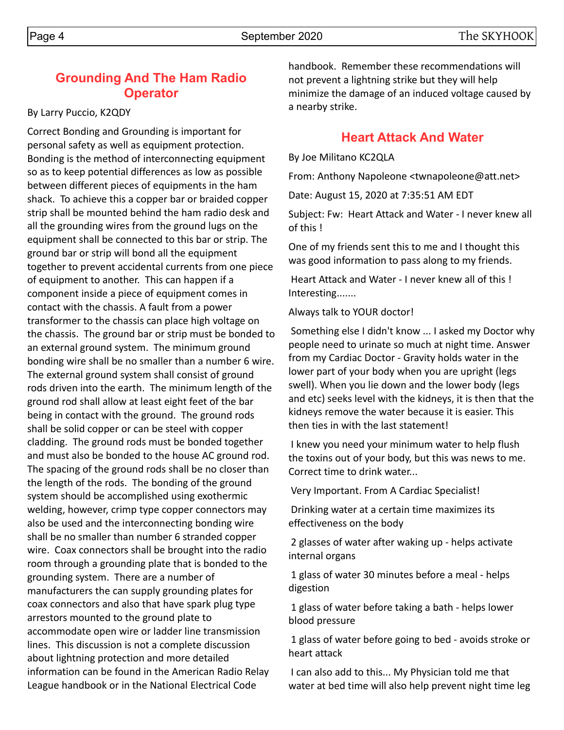#### **Grounding And The Ham Radio Operator**

#### By Larry Puccio, K2QDY

Correct Bonding and Grounding is important for personal safety as well as equipment protection. Bonding is the method of interconnecting equipment so as to keep potential differences as low as possible between different pieces of equipments in the ham shack. To achieve this a copper bar or braided copper strip shall be mounted behind the ham radio desk and all the grounding wires from the ground lugs on the equipment shall be connected to this bar or strip. The ground bar or strip will bond all the equipment together to prevent accidental currents from one piece of equipment to another. This can happen if a component inside a piece of equipment comes in contact with the chassis. A fault from a power transformer to the chassis can place high voltage on the chassis. The ground bar or strip must be bonded to an external ground system. The minimum ground bonding wire shall be no smaller than a number 6 wire. The external ground system shall consist of ground rods driven into the earth. The minimum length of the ground rod shall allow at least eight feet of the bar being in contact with the ground. The ground rods shall be solid copper or can be steel with copper cladding. The ground rods must be bonded together and must also be bonded to the house AC ground rod. The spacing of the ground rods shall be no closer than the length of the rods. The bonding of the ground system should be accomplished using exothermic welding, however, crimp type copper connectors may also be used and the interconnecting bonding wire shall be no smaller than number 6 stranded copper wire. Coax connectors shall be brought into the radio room through a grounding plate that is bonded to the grounding system. There are a number of manufacturers the can supply grounding plates for coax connectors and also that have spark plug type arrestors mounted to the ground plate to accommodate open wire or ladder line transmission lines. This discussion is not a complete discussion about lightning protection and more detailed information can be found in the American Radio Relay League handbook or in the National Electrical Code

handbook. Remember these recommendations will not prevent a lightning strike but they will help minimize the damage of an induced voltage caused by a nearby strike.

#### **Heart Attack And Water**

By Joe Militano KC2QLA

From: Anthony Napoleone <twnapoleone@att.net>

Date: August 15, 2020 at 7:35:51 AM EDT

Subject: Fw: Heart Attack and Water - I never knew all of this !

One of my friends sent this to me and I thought this was good information to pass along to my friends.

 Heart Attack and Water - I never knew all of this ! Interesting.......

Always talk to YOUR doctor!

 Something else I didn't know ... I asked my Doctor why people need to urinate so much at night time. Answer from my Cardiac Doctor - Gravity holds water in the lower part of your body when you are upright (legs swell). When you lie down and the lower body (legs and etc) seeks level with the kidneys, it is then that the kidneys remove the water because it is easier. This then ties in with the last statement!

 I knew you need your minimum water to help flush the toxins out of your body, but this was news to me. Correct time to drink water...

Very Important. From A Cardiac Specialist!

 Drinking water at a certain time maximizes its effectiveness on the body

 2 glasses of water after waking up - helps activate internal organs

 1 glass of water 30 minutes before a meal - helps digestion

 1 glass of water before taking a bath - helps lower blood pressure

 1 glass of water before going to bed - avoids stroke or heart attack

 I can also add to this... My Physician told me that water at bed time will also help prevent night time leg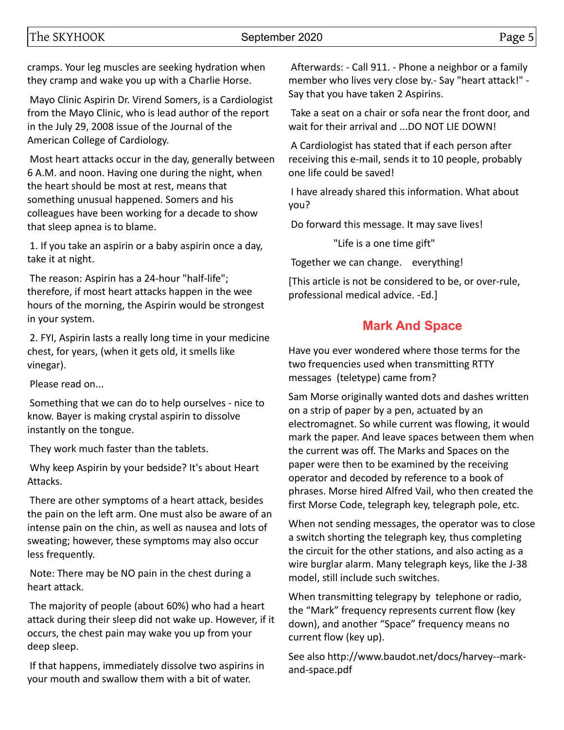#### The SKYHOOK **September 2020** September 2020

cramps. Your leg muscles are seeking hydration when they cramp and wake you up with a Charlie Horse.

 Mayo Clinic Aspirin Dr. Virend Somers, is a Cardiologist from the Mayo Clinic, who is lead author of the report in the July 29, 2008 issue of the Journal of the American College of Cardiology.

 Most heart attacks occur in the day, generally between 6 A.M. and noon. Having one during the night, when the heart should be most at rest, means that something unusual happened. Somers and his colleagues have been working for a decade to show that sleep apnea is to blame.

 1. If you take an aspirin or a baby aspirin once a day, take it at night.

 The reason: Aspirin has a 24-hour "half-life"; therefore, if most heart attacks happen in the wee hours of the morning, the Aspirin would be strongest in your system.

 2. FYI, Aspirin lasts a really long time in your medicine chest, for years, (when it gets old, it smells like vinegar).

Please read on...

 Something that we can do to help ourselves - nice to know. Bayer is making crystal aspirin to dissolve instantly on the tongue.

They work much faster than the tablets.

 Why keep Aspirin by your bedside? It's about Heart Attacks.

 There are other symptoms of a heart attack, besides the pain on the left arm. One must also be aware of an intense pain on the chin, as well as nausea and lots of sweating; however, these symptoms may also occur less frequently.

 Note: There may be NO pain in the chest during a heart attack.

 The majority of people (about 60%) who had a heart attack during their sleep did not wake up. However, if it occurs, the chest pain may wake you up from your deep sleep.

 If that happens, immediately dissolve two aspirins in your mouth and swallow them with a bit of water.

 Afterwards: - Call 911. - Phone a neighbor or a family member who lives very close by.- Say "heart attack!" - Say that you have taken 2 Aspirins.

 Take a seat on a chair or sofa near the front door, and wait for their arrival and ...DO NOT LIE DOWN!

 A Cardiologist has stated that if each person after receiving this e-mail, sends it to 10 people, probably one life could be saved!

 I have already shared this information. What about you?

Do forward this message. It may save lives!

"Life is a one time gift"

Together we can change. everything!

[This article is not be considered to be, or over-rule, professional medical advice. -Ed.]

## **Mark And Space**

Have you ever wondered where those terms for the two frequencies used when transmitting RTTY messages (teletype) came from?

Sam Morse originally wanted dots and dashes written on a strip of paper by a pen, actuated by an electromagnet. So while current was flowing, it would mark the paper. And leave spaces between them when the current was off. The Marks and Spaces on the paper were then to be examined by the receiving operator and decoded by reference to a book of phrases. Morse hired Alfred Vail, who then created the first Morse Code, telegraph key, telegraph pole, etc.

When not sending messages, the operator was to close a switch shorting the telegraph key, thus completing the circuit for the other stations, and also acting as a wire burglar alarm. Many telegraph keys, like the J-38 model, still include such switches.

When transmitting telegrapy by telephone or radio, the "Mark" frequency represents current flow (key down), and another "Space" frequency means no current flow (key up).

See also http://www.baudot.net/docs/harvey--markand-space.pdf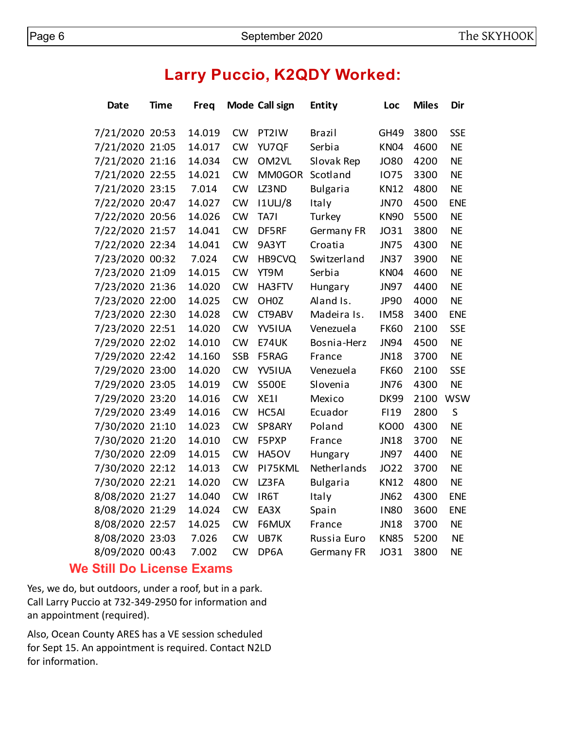# **Larry Puccio, K2QDY Worked:**

| <b>Date</b>     | Time | <b>Freq</b> |            | Mode Call sign    | <b>Entity</b>   | Loc              | <b>Miles</b> | Dir        |
|-----------------|------|-------------|------------|-------------------|-----------------|------------------|--------------|------------|
| 7/21/2020 20:53 |      | 14.019      | CW         | PT2IW             | Brazil          | <b>GH49</b>      | 3800         | <b>SSE</b> |
| 7/21/2020 21:05 |      | 14.017      | <b>CW</b>  | YU7QF             | Serbia          | <b>KN04</b>      | 4600         | <b>NE</b>  |
| 7/21/2020 21:16 |      | 14.034      | <b>CW</b>  | OM2VL             | Slovak Rep      | <b>JO80</b>      | 4200         | <b>NE</b>  |
| 7/21/2020 22:55 |      | 14.021      | <b>CW</b>  | MM0GOR            | Scotland        | 1075             | 3300         | <b>NE</b>  |
| 7/21/2020 23:15 |      | 7.014       | CW         | LZ3ND             | <b>Bulgaria</b> | <b>KN12</b>      | 4800         | <b>NE</b>  |
| 7/22/2020 20:47 |      | 14.027      | <b>CW</b>  | 11UU/8            | Italy           | <b>JN70</b>      | 4500         | <b>ENE</b> |
| 7/22/2020 20:56 |      | 14.026      | <b>CW</b>  | <b>TA71</b>       | Turkey          | <b>KN90</b>      | 5500         | <b>NE</b>  |
| 7/22/2020 21:57 |      | 14.041      | <b>CW</b>  | DF5RF             | Germany FR      | JO31             | 3800         | <b>NE</b>  |
| 7/22/2020 22:34 |      | 14.041      | CW         | 9A3YT             | Croatia         | <b>JN75</b>      | 4300         | <b>NE</b>  |
| 7/23/2020 00:32 |      | 7.024       | <b>CW</b>  | HB9CVQ            | Switzerland     | <b>JN37</b>      | 3900         | <b>NE</b>  |
| 7/23/2020 21:09 |      | 14.015      | CW         | YT9M              | Serbia          | KN <sub>04</sub> | 4600         | <b>NE</b>  |
| 7/23/2020 21:36 |      | 14.020      | <b>CW</b>  | HA3FTV            | Hungary         | <b>JN97</b>      | 4400         | <b>NE</b>  |
| 7/23/2020 22:00 |      | 14.025      | <b>CW</b>  | OH <sub>0</sub> Z | Aland Is.       | JP90             | 4000         | <b>NE</b>  |
| 7/23/2020 22:30 |      | 14.028      | <b>CW</b>  | CT9ABV            | Madeira Is.     | <b>IM58</b>      | 3400         | <b>ENE</b> |
| 7/23/2020 22:51 |      | 14.020      | <b>CW</b>  | YV5IUA            | Venezuela       | <b>FK60</b>      | 2100         | <b>SSE</b> |
| 7/29/2020 22:02 |      | 14.010      | CW         | E74UK             | Bosnia-Herz     | <b>JN94</b>      | 4500         | <b>NE</b>  |
| 7/29/2020 22:42 |      | 14.160      | <b>SSB</b> | F5RAG             | France          | <b>JN18</b>      | 3700         | <b>NE</b>  |
| 7/29/2020 23:00 |      | 14.020      | <b>CW</b>  | YV5IUA            | Venezuela       | <b>FK60</b>      | 2100         | <b>SSE</b> |
| 7/29/2020 23:05 |      | 14.019      | <b>CW</b>  | <b>S500E</b>      | Slovenia        | <b>JN76</b>      | 4300         | <b>NE</b>  |
| 7/29/2020 23:20 |      | 14.016      | CW         | <b>XE11</b>       | Mexico          | <b>DK99</b>      | 2100         | <b>WSW</b> |
| 7/29/2020 23:49 |      | 14.016      | <b>CW</b>  | HC5AI             | Ecuador         | F119             | 2800         | S          |
| 7/30/2020 21:10 |      | 14.023      | <b>CW</b>  | SP8ARY            | Poland          | <b>KO00</b>      | 4300         | <b>NE</b>  |
| 7/30/2020 21:20 |      | 14.010      | CW         | F5PXP             | France          | <b>JN18</b>      | 3700         | <b>NE</b>  |
| 7/30/2020 22:09 |      | 14.015      | <b>CW</b>  | HA5OV             | Hungary         | <b>JN97</b>      | 4400         | <b>NE</b>  |
| 7/30/2020 22:12 |      | 14.013      | CW         | PI75KML           | Netherlands     | <b>JO22</b>      | 3700         | <b>NE</b>  |
| 7/30/2020 22:21 |      | 14.020      | <b>CW</b>  | LZ3FA             | <b>Bulgaria</b> | <b>KN12</b>      | 4800         | <b>NE</b>  |
| 8/08/2020 21:27 |      | 14.040      | CW         | IR6T              | Italy           | <b>JN62</b>      | 4300         | <b>ENE</b> |
| 8/08/2020 21:29 |      | 14.024      | CW         | EA3X              | Spain           | <b>IN80</b>      | 3600         | <b>ENE</b> |
| 8/08/2020 22:57 |      | 14.025      | <b>CW</b>  | F6MUX             | France          | <b>JN18</b>      | 3700         | <b>NE</b>  |
| 8/08/2020 23:03 |      | 7.026       | CW         | UB7K              | Russia Euro     | <b>KN85</b>      | 5200         | <b>NE</b>  |
| 8/09/2020 00:43 |      | 7.002       | <b>CW</b>  | DP6A              | Germany FR      | JO31             | 3800         | <b>NE</b>  |

#### **We Still Do License Exams**

Yes, we do, but outdoors, under a roof, but in a park. Call Larry Puccio at 732-349-2950 for information and an appointment (required).

Also, Ocean County ARES has a VE session scheduled for Sept 15. An appointment is required. Contact N2LD for information.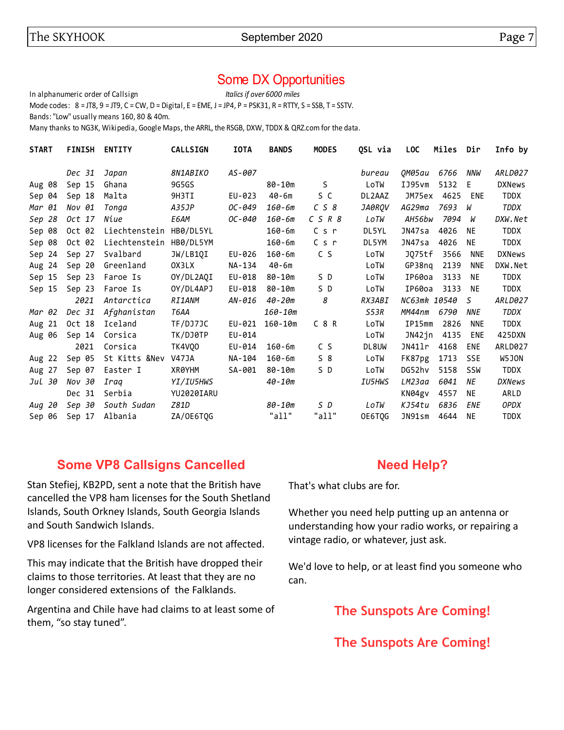#### The SKYHOOK **September 2020** Page 7

## Some DX Opportunities

In alphanumeric order of Callsign *Italics if over 6000 miles* Mode codes: 8 = JT8, 9 = JT9, C = CW, D = Digital, E = EME, J = JP4, P = PSK31, R = RTTY, S = SSB, T = SSTV. Bands: "Low" usually means 160, 80 & 40m. Many thanks to NG3K, Wikipedia, Google Maps, the ARRL, the RSGB, DXW, TDDX & QRZ.com for the data.

| <b>START</b> | <b>FINISH</b> | <b>ENTITY</b> | <b>CALLSIGN</b>        | <b>IOTA</b> | <b>BANDS</b> | <b>MODES</b>    | QSL via       | <b>LOC</b>   | Miles | Dir        | Info by       |
|--------------|---------------|---------------|------------------------|-------------|--------------|-----------------|---------------|--------------|-------|------------|---------------|
|              | Dec 31        | Japan         | <i><b>8N1ABIKO</b></i> | AS-007      |              |                 | bureau        | 0M05au       | 6766  | NNW        | ARLD027       |
| Aug 08       | Sep 15        | Ghana         | 9G5GS                  |             | $80 - 10m$   | S               | LoTW          | IJ95vm       | 5132  | -E         | <b>DXNews</b> |
| Sep 04       | Sep 18        | Malta         | 9H3TI                  | EU-023      | $40 - 6m$    | S C             | DL2AAZ        | JM75ex       | 4625  | ENE        | <b>TDDX</b>   |
| Mar 01       | Nov 01        | Tonga         | A35JP                  | $OC - 049$  | $160 - 6m$   | C S 8           | JA0RQV        | AG29ma       | 7693  | W          | TDDX          |
| Sep 28       | Oct 17        | Niue          | E6AM                   | OC-040      | $160 - 6m$   | $C$ $S$ $R$ $8$ | LoTW          | AH56bw       | 7094  | W          | DXW.Net       |
| Sep 08       | Oct 02        | Liechtenstein | HB0/DL5YL              |             | $160 - 6m$   | Csr             | DL5YL         | JN47sa       | 4026  | NE         | <b>TDDX</b>   |
| Sep 08       | Oct 02        | Liechtenstein | HB0/DL5YM              |             | $160 - 6m$   | Csr             | DL5YM         | JN47sa       | 4026  | <b>NE</b>  | <b>TDDX</b>   |
| Sep 24       | Sep 27        | Svalbard      | JW/LB1QI               | EU-026      | $160 - 6m$   | C S             | LoTW          | JQ75tf       | 3566  | <b>NNE</b> | <b>DXNews</b> |
| Aug 24       | Sep 20        | Greenland     | OX3LX                  | NA-134      | $40 - 6m$    |                 | LoTW          | GP38nq       | 2139  | <b>NNE</b> | DXW.Net       |
| Sep 15       | Sep 23        | Faroe Is      | OY/DL2A0I              | EU-018      | $80 - 10m$   | S D             | LoTW          | IP60oa       | 3133  | <b>NE</b>  | <b>TDDX</b>   |
| Sep 15       | Sep 23        | Faroe Is      | OY/DL4APJ              | EU-018      | $80 - 10m$   | S D             | LoTW          | IP60oa       | 3133  | <b>NE</b>  | <b>TDDX</b>   |
|              | 2021          | Antarctica    | <i>RI1ANM</i>          | AN-016      | $40 - 20m$   | 8               | RX3ABI        | NC63mk 10540 |       | -S         | ARLD027       |
| Mar 02       | Dec 31        | Afghanistan   | T6AA                   |             | $160 - 10m$  |                 | S53R          | MM44nm       | 6790  | <b>NNE</b> | TDDX          |
| Aug 21       | Oct 18        | Iceland       | TF/DJ7JC               | EU-021      | $160 - 10m$  | C 8 R           | LoTW          | IP15mm       | 2826  | <b>NNE</b> | <b>TDDX</b>   |
| Aug 06       | Sep 14        | Corsica       | TK/DJ0TP               | EU-014      |              |                 | LoTW          | JN42jn       | 4135  | <b>ENE</b> | 425DXN        |
|              | 2021          | Corsica       | TK4VQ0                 | EU-014      | $160 - 6m$   | C S             | DL8UW         | JN41lr       | 4168  | <b>ENE</b> | ARLD027       |
| Aug 22       | Sep 05        | St Kitts &Nev | <b>V47JA</b>           | NA-104      | $160 - 6m$   | $S_8$           | LoTW          | FK87pg       | 1713  | <b>SSE</b> | W5JON         |
| Aug 27       | Sep 07        | Easter I      | XR0YHM                 | SA-001      | $80 - 10m$   | S D             | LoTW          | DG52hv       | 5158  | SSW        | <b>TDDX</b>   |
| Jul 30       | Nov 30        | Iraq          | YI/IU5HWS              |             | $40 - 10m$   |                 | <b>IU5HWS</b> | LM23aa       | 6041  | ΝE         | <b>DXNews</b> |
|              | Dec 31        | Serbia        | YU2020IARU             |             |              |                 |               | KN04gv       | 4557  | <b>NE</b>  | ARLD          |
| Aug 20       | Sep 30        | South Sudan   | Z81D                   |             | 80-10m       | S D             | LoTW          | KJ54tu       | 6836  | ENE        | <b>OPDX</b>   |
| Sep 06       | Sep 17        | Albania       | ZA/OE6TOG              |             | "all"        | "all"           | OE6TOG        | JN91sm       | 4644  | <b>NE</b>  | <b>TDDX</b>   |
|              |               |               |                        |             |              |                 |               |              |       |            |               |

## **Some VP8 Callsigns Cancelled**

Stan Stefiej, KB2PD, sent a note that the British have cancelled the VP8 ham licenses for the South Shetland Islands, South Orkney Islands, South Georgia Islands and South Sandwich Islands.

VP8 licenses for the Falkland Islands are not affected.

This may indicate that the British have dropped their claims to those territories. At least that they are no longer considered extensions of the Falklands.

Argentina and Chile have had claims to at least some of them, "so stay tuned".

### **Need Help?**

That's what clubs are for.

Whether you need help putting up an antenna or understanding how your radio works, or repairing a vintage radio, or whatever, just ask.

We'd love to help, or at least find you someone who can.

**The Sunspots Are Coming!**

**The Sunspots Are Coming!**